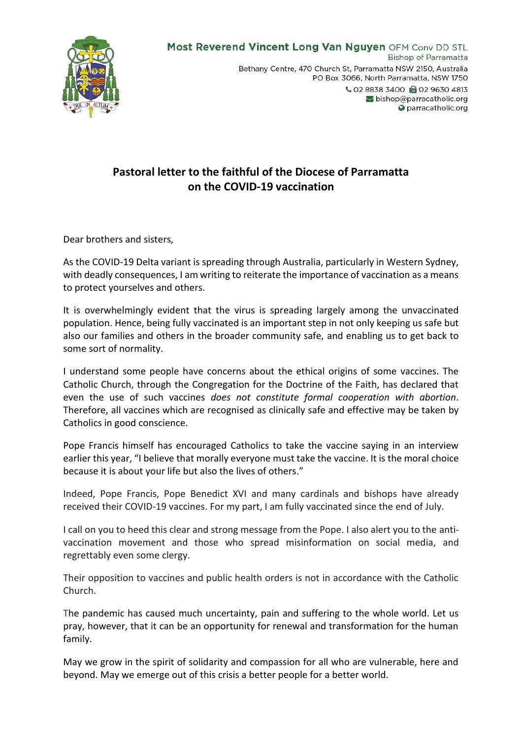

## **Pastoral letter to the faithful of the Diocese of Parramatta on the COVID-19 vaccination**

Dear brothers and sisters,

As the COVID-19 Delta variant is spreading through Australia, particularly in Western Sydney, with deadly consequences, I am writing to reiterate the importance of vaccination as a means to protect yourselves and others.

It is overwhelmingly evident that the virus is spreading largely among the unvaccinated population. Hence, being fully vaccinated is an important step in not only keeping us safe but also our families and others in the broader community safe, and enabling us to get back to some sort of normality.

I understand some people have concerns about the ethical origins of some vaccines. The Catholic Church, through the Congregation for the Doctrine of the Faith, has declared that even the use of such vaccines *does not constitute formal cooperation with abortion*. Therefore, all vaccines which are recognised as clinically safe and effective may be taken by Catholics in good conscience.

Pope Francis himself has encouraged Catholics to take the vaccine saying in an interview earlier this year, "I believe that morally everyone must take the vaccine. It is the moral choice because it is about your life but also the lives of others."

Indeed, Pope Francis, Pope Benedict XVI and many cardinals and bishops have already received their COVID-19 vaccines. For my part, I am fully vaccinated since the end of July.

I call on you to heed this clear and strong message from the Pope. I also alert you to the antivaccination movement and those who spread misinformation on social media, and regrettably even some clergy.

Their opposition to vaccines and public health orders is not in accordance with the Catholic Church.

The pandemic has caused much uncertainty, pain and suffering to the whole world. Let us pray, however, that it can be an opportunity for renewal and transformation for the human family.

May we grow in the spirit of solidarity and compassion for all who are vulnerable, here and beyond. May we emerge out of this crisis a better people for a better world.